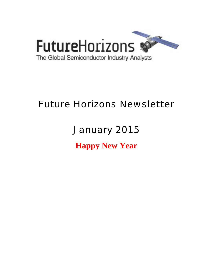

## Future Horizons Newsletter

# January 2015 **Happy New Year**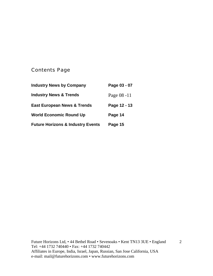## Contents Page

| <b>Industry News by Company</b>              | Page 03 - 07 |
|----------------------------------------------|--------------|
| <b>Industry News &amp; Trends</b>            | Page 08 -11  |
| <b>East European News &amp; Trends</b>       | Page 12 - 13 |
| <b>World Economic Round Up</b>               | Page 14      |
| <b>Future Horizons &amp; Industry Events</b> | Page 15      |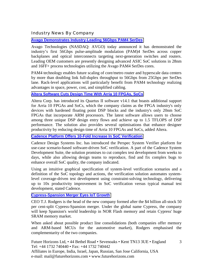#### Industry News By Company

#### **[Avago Demonstrates Industry-Leading 56Gbps PAM4 SerDes](http://www.avagotech.com/pages/en/press/avago-demonstrates-industry-leading-56gbps-pam4-serdes/)**

Avago Technologies (NASDAQ: AVGO) today announced it has demonstrated the industry's first 56Gbps pulse-amplitude modulation (PAM)4 SerDes across copper backplanes and optical interconnects targeting next-generation switches and routers. Leading OEM customers are presently designing advanced ASIC SoC solutions in 28nm and 16FF+ process technologies utilizing the Avago PAM4 SerDes cores.

PAM4 technology enables future scaling of core/metro router and hyperscale data centers by more than doubling link full-duplex throughput to 56Gbps from 25Gbps per SerDes lane. Rack-level applications will particularly benefit from PAM4 technology realizing advantages in space, power, cost, and simplified cabling.

#### **[Altera Software Cuts Design Time With Arria 10 FPGAs, SoCs](http://www.eetindia.co.in/ART_8800708111_1800000_NP_2ca7c951.HTM?click_from=8800121421,9950114561,2014-12-18,EEIOL,ARTICLE_ALERT)**

Altera Corp. has introduced its Quartus II software v14.1 that boasts additional support for Arria 10 FPGAs and SoCs, which the company claims as the FPGA industry's only devices with hardened floating point DSP blocks and the industry's only 20nm SoC FPGAs that incorporate ARM processors. The latest software allows users to choose among three unique DSP design entry flows and achieve up to 1.5 TFLOPS of DSP performance. The solution also provides several optimisations that enhance designer productivity by reducing design time of Arria 10 FPGAs and SoCs, added Altera.

#### **[Cadence Platform Offers 10-Fold Increase In SoC Verification](http://www.eetindia.co.in/ART_8800707959_1800000_NP_c58cfb88.HTM?click_from=8800121381,9950114561,2014-12-15,EEIOL,ARTICLE_ALERT)**

Cadence Design Systems Inc. has introduced the Perspec System Verifier platform for use-case scenario-based software-driven SoC verification. A part of the Cadence System Development Suite, the solution promises to cut complex test development from weeks to days, while also allowing design teams to reproduce, find and fix complex bugs to enhance overall SoC quality, the company indicated.

Using an intuitive graphical specification of system-level verification scenarios and a definition of the SoC topology and actions, the verification solution automates systemlevel coverage-driven test development using constraint-solving technology, delivering up to 10x productivity improvement in SoC verification versus typical manual test development, stated Cadence.

#### **[Cypress-Spansion Merger Eyes IoT Growth](http://www.eetindia.co.in/ART_8800708038_1800006_NT_73b75999.HTM?utm_source=EETI&utm_medium=InternalReferral&utm_content=HomePage&utm_campaign=LinkPipe)**

CEO T.J. Rodgers is the head of the new company formed after the \$4 billion all-stock 50 per cent-split Cypress-Spansion merger. Under the global name Cypress, the company will keep Spansion's world leadership in NOR Flash memory and retain Cypress' huge SRAM memory market.

When asked about possible product line consolidations (both companies offer memory and ARM-based MCUs for the automotive market), Rodgers emphasised the complementarity of the two companies.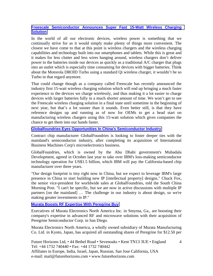#### **[Freescale Semiconductor Announces Super Fast 15-Watt Wireless Charging](http://www.androidheadlines.com/2014/12/freescale-semiconductor-announces-super-fast-15-watt-wireless-charging-solution.html)  [Solution](http://www.androidheadlines.com/2014/12/freescale-semiconductor-announces-super-fast-15-watt-wireless-charging-solution.html)**

In the world of all our electronic devices, wireless power is something that we continually strive for as it would simply make plenty of things more convenient. The closest we have come to that at this point is wireless chargers and the wireless charging capabilities and technology built into our smartphones and tablets. While this is great and it makes for less clutter and less wires hanging around, wireless chargers don't deliver power to the batteries inside our devices as quickly as a traditional A/C charger that plugs into an outlet which is especially time consuming for devices with bigger batteries. Think about the Motorola DROID Turbo using a standard Qi wireless charger, it wouldn't be so Turbo in that regard anymore.

That could change though as a company called Freescale has recently announced the industry first 15-watt wireless charging solution which will end up bringing a much faster experience to the devices we charge wirelessly, and thus making it a lot easier to charge devices with larger batteries fully in a much shorter amount of time. We won't get to see the Freescale wireless charging solution in a final state until sometime in the beginning of next year, but that's a lot sooner than it sounds. Even better still, is that they have reference designs up and running as of now for OEMs to get a head start on manufacturing wireless chargers using this 15-watt solution which gives companies the chance to get them into our hands faster.

#### **[Globalfoundries Eyes Opportunities In China's Semiconductor Industry](http://www.scmp.com/business/companies/article/1675865/globalfoundries-eyes-opportunities-chinas-semiconductor-industry)**

Contract chip manufacturer GlobalFoundries is looking to foster deeper ties with the mainland's semiconductor industry, after completing its acquisition of International Business Machines Corp's microelectronics business.

GlobalFoundries, which is owned by the Abu Dhabi government's Mubadala Development, agreed in October last year to take over IBM's loss-making semiconductor technology operation for US\$1.5 billion, which IBM will pay the California-based chip manufacturer over three years.

"Our design footprint is tiny right now in China, but we expect to leverage IBM's large presence in China to start building new IP [intellectual property] designs," Chuck Fox, the senior vice-president for worldwide sales at GlobalFoundries, told the South China Morning Post. "I can't be specific, but we are now in active discussions with multiple IP partners [on the mainland] … The challenge in our industry is about design, so we're making greater investments in IP."

#### **[Murata Boosts RF Expertise With Peregrine Buy](http://www.militaryaerospace.com/articles/2014/12/murata-acquires-peregrine.html)**

Executives of Murata Electronics North America Inc. in Smyrna, Ga., are boosting their company's expertise in advanced RF and microwave solutions with their acquisition of Peregrine Semiconductor Corp. in San Diego.

Murata Electronics North America, a wholly owned subsidiary of Murata Manufacturing Co. Ltd. in Kyoto, Japan, has acquired all outstanding shares of Peregrine for \$12.50 per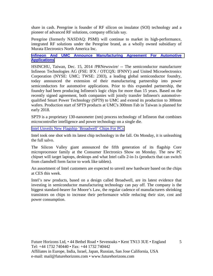share in cash. Peregrine is founder of RF silicon on insulator (SOI) technology and a pioneer of advanced RF solutions, company officials say.

Peregrine (formerly NASDAQ: PSMI) will continue to market its high-performance, integrated RF solutions under the Peregrine brand, as a wholly owned subsidiary of Murata Electronics North America Inc.

**[Infineon And UMC Announce Manufacturing Agreement For Automotive](http://money.cnn.com/news/newsfeeds/articles/prnewswire/HK90592.htm)  [Applications](http://money.cnn.com/news/newsfeeds/articles/prnewswire/HK90592.htm)**

HSINCHU, Taiwan, Dec. 15, 2014 /PRNewswire/ -- The semiconductor manufacturer Infineon Technologies AG (FSE: IFX / OTCQX: IFNNY) and United Microelectronics Corporation (NYSE: UMC; TWSE: 2303), a leading global semiconductor foundry, today announced the extension of their manufacturing partnership into power semiconductors for automotive applications. Prior to this expanded partnership, the foundry had been producing Infineon's logic chips for more than 15 years. Based on the recently signed agreement, both companies will jointly transfer Infineon's automotivequalified Smart Power Technology (SPT9) to UMC and extend its production to 300mm wafers. Production start of SPT9 products at UMC's 300mm Fab in Taiwan is planned for early 2018.

SPT9 is a proprietary 130-nanometer (nm) process technology of Infineon that combines microcontroller intelligence and power technology on a single die.

[Intel Unveils New Flagship 'Broadwell' Chips For PCs](http://blogs.wsj.com/digits/2015/01/05/intel-unveils-new-flagship-broadwell-chips-for-pcs/?mod=djemTECH_h)

Intel took one shot with its latest chip technology in the fall. On Monday, it is unleashing the full salvo.

The Silicon Valley giant announced the fifth generation of its flagship Core microprocessor family at the Consumer Electronics Show on Monday. The new PC chipset will target laptops, desktops and what Intel calls 2-in-1s (products that can switch from clamshell form factor to work like tablets).

An assortment of Intel customers are expected to unveil new hardware based on the chips at CES this week.

Intel's new products, based on a design called Broadwell, are its latest evidence that investing in semiconductor manufacturing technology can pay off. The company is the biggest standard-bearer for Moore's Law, the regular cadence of manufacturers shrinking transistors on chips to increase their performance while reducing their size, cost and power consumption.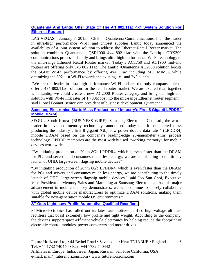#### **[Quantenna And Lantiq Offer State Of The Art 802.11ac 4x4 System Solution For](http://www.presseagentur.com/lantiq/detail.php?pr_id=3932&lang=en)  [Ethernet Routers](http://www.presseagentur.com/lantiq/detail.php?pr_id=3932&lang=en)**

LAS VEGAS – January 7, 2015 – CES — Quantenna Communications, Inc., the leader in ultra-high performance Wi-Fi and chipset supplier Lantiq today announced the availability of a joint system solution to address the Ethernet Retail Router market. The solution combines Quantenna's QSR1000 4x4 802.11ac with the Lantiq's GRX300 communications processor family and brings ultra-high performance Wi-Fi technology to the mid-range Ethernet Retail Router market. Today's AC1750 and AC1900 mid-end routers are offering only 3x3 802.11ac. The Lantiq /Quantenna AC2000 solution boosts the 5GHz Wi-Fi performance by offering 4x4 11ac including MU MIMO, while optimizing the 802.11n Wi-Fi towards the existing 1x1 and 2x2 clients.

"We are the leader in ultra-high performance Wi-Fi and are the only company able to offer a 4x4 802.11ac solution for the retail router market. We are excited that, together with Lantiq, we could create a new AC2000 Router category and bring our high-end solution with Wi-Fi link rates of 1,700Mbps into the mid-range Ethernet router segment," said Lionel Bonnot, senior vice president of business development, Quantenna.

#### **[Samsung Electronics Starts Mass Production of Industry's First 8 Gigabit LPDDR4](http://jbsystech.com/iot-puts-jolt-traditional-led-lighting-designs/)  [Mobile DRAM](http://jbsystech.com/iot-puts-jolt-traditional-led-lighting-designs/)**

SEOUL, South Korea--(BUSINESS WIRE)--Samsung Electronics Co., Ltd., the world leader in advanced memory technology, announced today that it has started mass producing the industry's first 8 gigabit (Gb), low power double data rate 4 (LPDDR4) mobile DRAM based on the company's leading-edge 20-nanometer (nm) process technology. LPDDR memories are the most widely used "working memory" for mobile devices worldwide.

"By initiating production of 20nm 8Gb LPDDR4, which is even faster than the DRAM for PCs and servers and consumes much less energy, we are contributing to the timely launch of UHD, large-screen flagship mobile devices"

"By initiating production of 20nm 8Gb LPDDR4, which is even faster than the DRAM for PCs and servers and consumes much less energy, we are contributing to the timely launch of UHD, large-screen flagship mobile devices," said Joo Sun Choi, Executive Vice President of Memory Sales and Marketing at Samsung Electronics. "As this major advancement in mobile memory demonstrates, we will continue to closely collaborate with global mobile device manufacturers to optimize DRAM solutions, making them suitable for next-generation mobile OS environments."

#### **[ST Outs Light, Low-Profile Automotive-Qualified Rectifiers](http://www.eetindia.co.in/ART_8800708442_1800008_NP_0318bb43.HTM)**

STMicroelectronics has rolled out its latest automotive-qualified high-voltage ultrafast rectifiers that boast extremely low profile and light weight. According to the company, the devices support space-efficient vehicle electronics by helping reduce the footprint of electronic control modules, power converters and motor drives.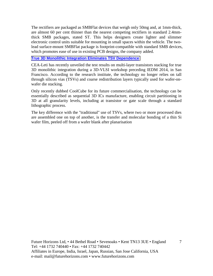The rectifiers are packaged as SMBFlat devices that weigh only 50mg and, at 1mm-thick, are almost 60 per cent thinner than the nearest competing rectifiers in standard 2.4mmthick SMB packages, stated ST. This helps designers create lighter and slimmer electronic control units suitable for mounting in small spaces within the vehicle. The twolead surface-mount SMBFlat package is footprint-compatible with standard SMB devices, which promotes ease of use in existing PCB designs, the company added.

#### **[True 3D Monolithic Integration Eliminates TSV Dependence](http://www.eetindia.co.in/ART_8800708726_1800000_NT_f07a5326.HTM)**

CEA-Leti has recently unveiled the test results on multi-layer transistors stacking for true 3D monolithic integration during a 3D-VLSI workshop preceding IEDM 2014, in San Francisco. According to the research institute, the technology no longer relies on tall through silicon vias (TSVs) and coarse redistribution layers typically used for wafer-onwafer die stacking.

Only recently dubbed CoolCube for its future commercialisation, the technology can be essentially described as sequential 3D ICs manufacture, enabling circuit partitioning in 3D at all granularity levels, including at transistor or gate scale through a standard lithographic process.

The key difference with the "traditional" use of TSVs, where two or more processed dies are assembled one on top of another, is the transfer and molecular bonding of a thin Si wafer film, peeled off from a wafer blank after planarisation

Future Horizons Ltd, • 44 Bethel Road • Sevenoaks • Kent TN13 3UE • England Tel: +44 1732 740440 • Fax: +44 1732 740442 Affiliates in Europe, India, Israel, Japan, Russian, San Jose California, USA e-mail: mail@futurehorizons.com • www.futurehorizons.com

7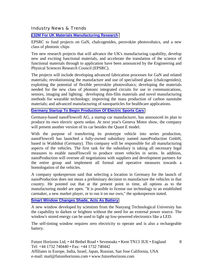Industry News & Trends

#### **[£32M For UK Materials Manufacturing Research](http://www.compoundsemiconductor.net/article/96010-32m-for-uk-materials-manufacturing-research.html)**

EPSRC to fund projects on GaN, chalcogenides, perovskite photovoltaics, and a new class of photonic chips

Ten new research projects that will advance the UK's manufacturing capability, develop new and exciting functional materials, and accelerate the translation of the science of functional materials through to application have been announced by the Engineering and Physical Sciences Research Council (EPSRC).

The projects will include developing advanced fabrication processes for GaN and related materials; revolutionising the manufacture and use of specialised glass (chalcogenides); exploiting the potential of flexible perovskite photovoltaics; developing the materials needed for the new class of photonic integrated circuits for use in communications, sensors, imaging and lighting; developing thin-film materials and novel manufacturing methods for wearable technology; improving the mass production of carbon nanotube materials; and advanced manufacturing of nanoparticles for healthcare applications.

#### **[Germany Startup To Begin Production Of Electric Sports Cars](http://www.ednasia.com/ART_8800521071_1000000_NT_2af57d96.HTM?%7bCLICK_FROM~%7d)**

Germany-based nanoFlowcell AG, a startup car manufacturer, has announced its plan to produce its own electric sports sedan. At next year's Geneva Motor show, the company will present another version of its car besides the Quant E model.

With the purpose of transferring its prototype vehicle into series production, nanoFlowcell has launched a fully-owned subsidiary named nanoProduction GmbH, based in Waldshut (Germany). This company will be responsible for all manufacturing aspects of the vehicles. The first task for the subsidiary is taking all necessary legal measures to enable nanoFlowcell to produce street vehicles in series. In addition, nanoProduction will oversee all negotiations with suppliers and development partners for the entire group and implement all formal and operative measures towards a homologation of the vehicles.

A company spokesperson said that selecting a location in Germany for the launch of nanoProduction does not mean a preliminary decision to manufacture the vehicles in that country. He pointed out that at the present point in time, all options as to the manufacturing model are open. "It is possible to license our technology to an established carmaker, a new market player, or to run it on our own," the spokesperson stated.

#### **[Smart Window Changes Shade, Acts As Battery](http://www.eetindia.co.in/ART_8800708198_1800010_NT_77e19523.HTM?from=ART_Topranked)**

A new window developed by scientists from the Nanyang Technological University has the capability to darken or brighten without the need for an external power source. The window's stored energy can be used to light up low-powered electronics like a LED.

The self-tinting window requires zero electricity to operate and is also a rechargeable battery.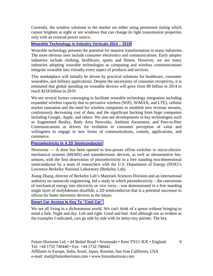Currently, the window solutions in the market are either using permanent tinting which cannot brighten at night or are windows that can change its light transmission properties only with an external power source.

#### **[Wearable Technology in Industry Verticals 2014 – 2019](http://www.prnewswire.com/news-releases/wearable-technology-in-industry-verticals-2014---2019-300012534.html)**

Wearable technology presents the potential for massive transformation in many industries. The more obvious ones include consumer electronics and communications. Early adopter industries include clothing, healthcare, sports and fitness. However, we see many industries adopting wearable technologies as computing and wireless communications integrate wearable into virtually every aspect of products and services.

This marketplace will initially be driven by practical solutions for healthcare, consumer wearables, and military applications. Despite the uncertainty of consumer receptivity, it is estimated that global spending on wearable devices will grow from \$9 billion in 2014 to reach \$218 billion in 2019.

We see several factors converging to facilitate wearable technology integration including expanded wireless capacity due to pervasive wireless (WiFi, WiMAX, and LTE), cellular market saturation and the need for wireless companies to establish new revenue streams, continuously decreasing cost of data, and the significant backing from huge companies including Google, Apple, and others. We also see developments in key technologies such as Augmented Reality, Body Area Networks, Ambient Awareness, and Peer-to-Peer Communications as drivers for evolution in consumer perception of value and willingness to engage in new forms of communications, content, applications, and commerce.

#### **[Piezoelectricity In A 2D Semiconductor](http://www.newswise.com/articles/piezoelectricity-in-a-2d-semiconductor)**

Newswise — A door has been opened to low-power off/on switches in micro-electromechanical systems (MEMS) and nanoelectronic devices, as well as ultrasensitive biosensors, with the first observation of piezoelectricity in a free standing two-dimensional semiconductor by a team of researchers with the U.S. Department of Energy (DOE)'s Lawrence Berkeley National Laboratory (Berkeley Lab).

Xiang Zhang, director of Berkeley Lab's Materials Sciences Division and an international authority on nanoscale engineering, led a study in which piezoelectricity – the conversion of mechanical energy into electricity or vice versa – was demonstrated in a free standing single layer of molybdenum disulfide, a 2D semiconductor that is a potential successor to silicon for faster electronic devices in the future.

#### **[Smart Car Access Is Key To "Cool Car"](http://www.eetindia.co.in/ART_8800708668_1800005_NT_3334a328.HTM?click_from=8800121780,9950114561,2015-01-08,EEIOL,ARTICLE_ALERT)**

We are all living in a dichotomous world. We can't think of a spoon without bringing to mind a fork. Night and day. Left and right. Good and bad. And although not as evident as the examples I indicated, cars go side by side with its teeny-tiny partner. The key.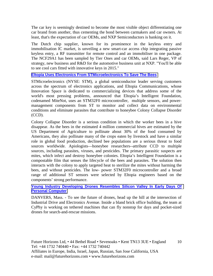The car key is seemingly destined to become the most visible object differentiating one car brand from another, thus cementing the bond between carmakers and car owners. At least, that's the expectation of car OEMs, and NXP Semiconductors is banking on it.

The Dutch chip supplier, known for its prominence in the keyless entry and immobilisation IC market, is unveiling a new smart-car access chip integrating passive keyless entry, a RF transmitter for remote control and an immobiliser in one package. The NCF29A1 has been sampled by Tier Ones and car OEMs, said Lars Reger, VP of strategy, new business and R&D for the automotive business unit at NXP. "You'll be able to see cool cars fitted with innovative keys in 2015."

#### **[Eltopia Uses Electronics From STMicroelectronics To Save The Bees](http://www.st.com/web/en/press/t3651)**

STMicroelectronics (NYSE: STM), a global semiconductor leader serving customers across the spectrum of electronics applications, and Eltopia Communications, whose Innovation Space is dedicated to commercializing devices that address some of the world's most pressing problems, announced that Eltopia's Intelligent Foundation, codenamed MiteNot, uses an STM32F0 microcontroller, multiple sensors, and powermanagement components from ST to monitor and collect data on environmental conditions and eliminate parasites that contribute to honeybee Colony Collapse Disorder (CCD).

Colony Collapse Disorder is a serious condition in which the worker bees in a hive disappear. As the bees in the estimated 4 million commercial hives are estimated by the US Department of Agriculture to pollinate about 30% of the food consumed by Americans, they also pollinate many of the crops eaten by livestock and have a similar role in global food production, declined bee populations are a serious threat to food sources worldwide. Apiologists—honeybee researchers--attribute CCD to multiple sources, including parasites, viruses, and pesticides. The primary parasitic suspects are mites, which infect and destroy honeybee colonies. Eltopia's Intelligent Foundation is a compostable film that senses the lifecycle of the bees and parasites. The solution then interacts with the colony to apply targeted heat to sterilize the mites without harming the bees, and without pesticides. The low- power STM32F0 microcontroller and a broad range of additional ST sensors were selected by Eltopia engineers based on the components' strong performance.

#### **[Young Industry Developing Drones Resembles Silicon Valley In Early Days Of](http://www.theprovince.com/business/Young+industry+developing+drones+resembles+Silicon+Valley+early/10718725/story.html)  [Personal Computer](http://www.theprovince.com/business/Young+industry+developing+drones+resembles+Silicon+Valley+early/10718725/story.html)**

DANVERS, Mass. - To see the future of drones, head up the hill at the intersection of Industrial Drive and Electronics Avenue. Inside a bland brick office building, the team at CyPhy is working on tethered machines that can fly nonstop for days and pocket-sized drones for search-and-rescue missions.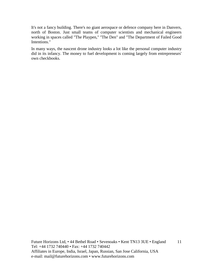It's not a fancy building. There's no giant aerospace or defence company here in Danvers, north of Boston. Just small teams of computer scientists and mechanical engineers working in spaces called "The Playpen," "The Den" and "The Department of Failed Good Intentions."

In many ways, the nascent drone industry looks a lot like the personal computer industry did in its infancy. The money to fuel development is coming largely from entrepreneurs' own checkbooks.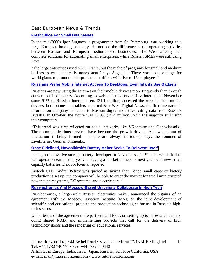#### East European News & Trends

#### **[FreshOffice For Small Businesses](http://rbth.co.uk/science_and_tech/2014/12/05/freshoffice_for_small_businesses_41989.html)**

In the mid-2000s Igor Sugnach, a programmer from St. Petersburg, was working at a large European holding company. He noticed the difference in the operating activities between Russian and European medium-sized businesses. The West already had complete solutions for automating small enterprises, while Russian SMEs were still using Excel.

"The large enterprises used SAP, Oracle, but the niche of programs for small and medium businesses was practically nonexistent," says Sugnach. "There was no advantage for world giants to promote their products to offices with five to 15 employees."

#### **[Russians Prefer Mobile Internet Access To Desktops; Even Infants Use Gadgets](http://www.marchmontnews.com/Telecoms-Media/Central-regions/21039-Russians-prefer-mobile-Internet-access-desktops-even-infants-use-gadgets.html)**

Russians are now using the Internet on their mobile devices more frequently than through conventional computers. According to web statistics service LiveInternet, in November some 51% of Russian Internet users (31.1 million) accessed the web on their mobile devices, both phones and tablets, reported East-West Digital News, the first international information company dedicated to Russian digital industries, citing data from Russia's Izvestia. In October, the figure was 49.9% (29.4 million), with the majority still using their computers.

"This trend was first reflected on social networks like VKontakte and Odnoklassniki. These communications services have become the growth drivers. A new medium of interaction is being formed – people are always in touch," says the founder of LiveInternet German Klimenko.

**[Once Sidelined, Novosibirsk's Battery Maker Seeks To Reinvent Itself](http://www.marchmontnews.com/Industry-Manufacturing/Siberia/21034-Once-sidelined-Novosibirsks-battery-maker-seeks-reinvent-itself.html)**

iotech, an innovative storage battery developer in Novosibirsk, in Siberia, which had to halt operation earlier this year, is staging a market comeback next year with new small capacity batteries, Delovoi Kvartal reported.

Liotech CEO Andrei Petrov was quoted as saying that, "once small capacity battery production is set up, the company will be able to enter the market for small uninterrupted power supply systems, DC systems, and electric cars."

#### **[Ruselectronics And Moscow-Based University Collaborate In High Tech](http://www.marchmontnews.com/Technology-Innovation/Central-regions/21026-Ruselectronics-and-Moscow-based-university-collaborate-high-tech.html)**

Ruselectronics, a large-scale Russian electronics maker, announced the signing of an agreement with the Moscow Aviation Institute (MAI) on the joint development of scientific and educational projects and production technologies for use in Russia's hightech sectors.

Under terms of the agreement, the partners will focus on setting up joint research centers, doing shared R&D, and implementing projects that call for the delivery of high technology goods and the rendering of educational services.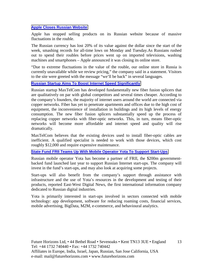#### **[Apple Closes Russian Website](http://world.einnews.com/article/240218595/4F3_DGtykthRi1-R?n=2&code=Cq3P7Y3f_wXzgLpF)**

Apple has stopped selling products on its Russian website because of massive fluctuations in the rouble.

The Russian currency has lost 20% of its value against the dollar since the start of the week, smashing records for all-time lows on Monday and Tuesday.As Russians rushed out to spend their roubles before prices went up on imported televisions, washing machines and smartphones – Apple announced it was closing its online store.

"Due to extreme fluctuations in the value of the rouble, our online store in Russia is currently unavailable while we review pricing," the company said in a statement. Visitors to the site were greeted with the message "we'll be back" in several languages.

#### **[Russian Startup Aims To Boost Internet Speed Significantly](http://rbth.co.uk/science_and_tech/2014/12/22/russian_startup_aims_to_boost_internet_speed_significantly_42437.html)**

Russian startup MaxTelCom has developed fundamentally new fiber fusion splicers that are qualitatively on par with global competitors and several times cheaper. According to the company's founders, the majority of internet users around the world are connected via copper networks. Fiber has yet to penetrate apartments and offices due to the high cost of equipment, the inconvenience of installation in buildings and its high levels of energy consumption. The new fiber fusion splicers substantially speed up the process of replacing copper networks with fiber-optic networks. This, in turn, means fiber-optic networks will become more affordable and internet speed and quality will rise dramatically.

MaxTelCom believes that the existing devices used to install fiber-optic cables are inefficient. A qualified specialist is needed to work with those devices, which cost roughly \$12,000 and require expensive maintenance.

#### **[State Fund FRII Teams Up With Mobile Operator Yota To Support Start-Ups](http://www.marchmontnews.com/Finance-Business/Central-regions/21051-State-fund-FRII-teams-up-with-mobile-operator-Yota-support-start-ups.html)**

Russian mobile operator Yota has become a partner of FRII, the \$200m governmentbacked fund launched last year to support Russian Internet start-ups. The company will invest in the fund's start-ups, and may also look at acquiring some projects.

Start-ups will also benefit from the company's support through assistance with infrastructure and the use of Yota's resources in the development and testing of their products, reported East-West Digital News, the first international information company dedicated to Russian digital industries.

Yota is primarily interested in start-ups involved in sectors connected with mobile technology: app development, software for reducing roaming costs, financial services, mobile advertising, BigData, M2M, e-commerce, and behavioural analytics.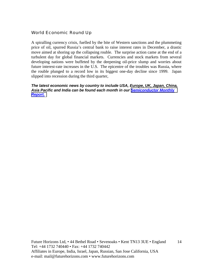#### World Economic Round Up

A spiralling currency crisis, fuelled by the bite of Western sanctions and the plummeting price of oil, spurred Russia's central bank to raise interest rates in December, a drastic move aimed at shoring up the collapsing rouble. The surprise action came at the end of a turbulent day for global financial markets. Currencies and stock markets from several developing nations were buffeted by the deepening oil-price slump and worries about future interest-rate increases in the U.S. The epicentre of the troubles was Russia, where the rouble plunged to a record low in its biggest one-day decline since 1999. Japan slipped into recession during the third quarter,

*The latest economic news by country to include USA, Europe, UK, Japan, China, Asia Pacific and India can be found each month in our [Semiconductor Monthly](http://www.futurehorizons.com/page/18/Global-Semiconductor-Report)  [Report.](http://www.futurehorizons.com/page/18/Global-Semiconductor-Report)*